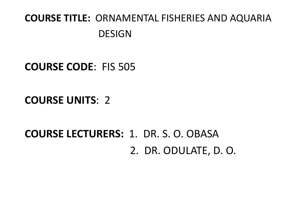### **COURSE TITLE:** ORNAMENTAL FISHERIES AND AQUARIA DESIGN

#### **COURSE CODE**: FIS 505

#### **COURSE UNITS**: 2

# **COURSE LECTURERS:** 1. DR. S. O. OBASA2. DR. ODULATE, D. O.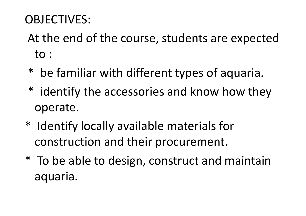## OBJECTIVES:

At the end of the course, students are expected to :

- \* be familiar with different types of aquaria.
- \* identify the accessories and know how they operate.
- \* Identify locally available materials for construction and their procurement.
- \* To be able to design, construct and maintain aquaria.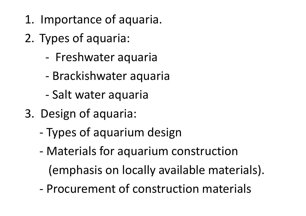- 1. Importance of aquaria.
- 2. Types of aquaria:
	- -Freshwater aquaria
	- -Brackishwater aquaria
	- -Salt water aquaria
- 3. Design of aquaria:
	- -Types of aquarium design
	- - Materials for aquarium construction(emphasis on locally available materials).
	- -Procurement of construction materials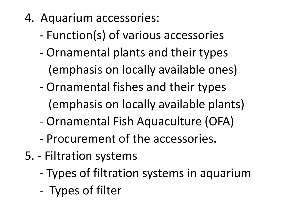- 4. Aquarium accessories:
	- -Function(s) of various accessories
	- - Ornamental plants and their types (emphasis on locally available ones)
	- - Ornamental fishes and their types (emphasis on locally available plants)
	- -Ornamental Fish Aquaculture (OFA)
	- -Procurement of the accessories.
- 5. Filtration systems
	- -Types of filtration systems in aquarium
	- -Types of filter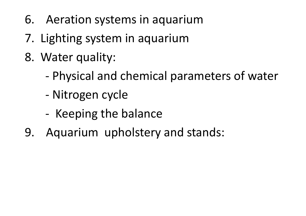- 6. Aeration systems in aquarium
- 7. Lighting system in aquarium
- 8. Water quality:
	- -Physical and chemical parameters of water
	- -Nitrogen cycle
	- -- Keeping the balance
- 9. Aquarium upholstery and stands: